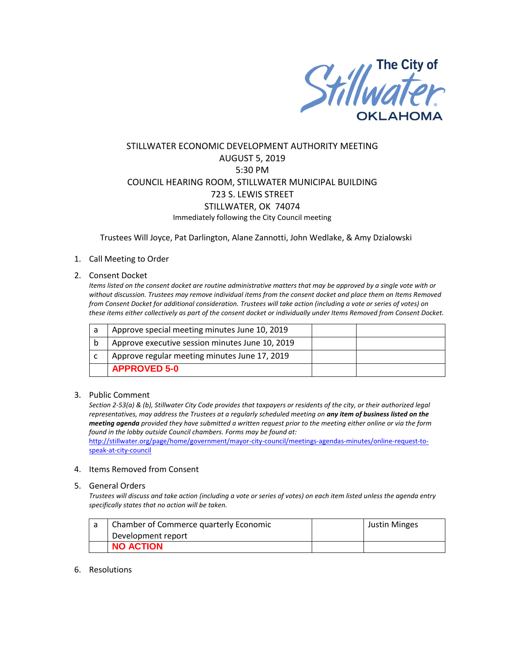

# STILLWATER ECONOMIC DEVELOPMENT AUTHORITY MEETING AUGUST 5, 2019 5:30 PM COUNCIL HEARING ROOM, STILLWATER MUNICIPAL BUILDING 723 S. LEWIS STREET STILLWATER, OK 74074 Immediately following the City Council meeting

Trustees Will Joyce, Pat Darlington, Alane Zannotti, John Wedlake, & Amy Dzialowski

## 1. Call Meeting to Order

## 2. Consent Docket

*Items listed on the consent docket are routine administrative matters that may be approved by a single vote with or without discussion. Trustees may remove individual items from the consent docket and place them on Items Removed from Consent Docket for additional consideration. Trustees will take action (including a vote or series of votes) on these items either collectively as part of the consent docket or individually under Items Removed from Consent Docket.*

| a | Approve special meeting minutes June 10, 2019   |  |
|---|-------------------------------------------------|--|
|   | Approve executive session minutes June 10, 2019 |  |
|   | Approve regular meeting minutes June 17, 2019   |  |
|   | <b>APPROVED 5-0</b>                             |  |

#### 3. Public Comment

*Section 2-53(a) & (b), Stillwater City Code provides that taxpayers or residents of the city, or their authorized legal representatives, may address the Trustees at a regularly scheduled meeting on any item of business listed on the meeting agenda provided they have submitted a written request prior to the meeting either online or via the form found in the lobby outside Council chambers. Forms may be found at:* 

[http://stillwater.org/page/home/government/mayor-city-council/meetings-agendas-minutes/online-request-to](http://stillwater.org/page/home/government/mayor-city-council/meetings-agendas-minutes/online-request-to-speak-at-city-council)[speak-at-city-council](http://stillwater.org/page/home/government/mayor-city-council/meetings-agendas-minutes/online-request-to-speak-at-city-council)

## 4. Items Removed from Consent

#### 5. General Orders

*Trustees will discuss and take action (including a vote or series of votes) on each item listed unless the agenda entry specifically states that no action will be taken.*

| Chamber of Commerce quarterly Economic | <b>Justin Minges</b> |
|----------------------------------------|----------------------|
| Development report                     |                      |
| <b>NO ACTION</b>                       |                      |

#### 6. Resolutions